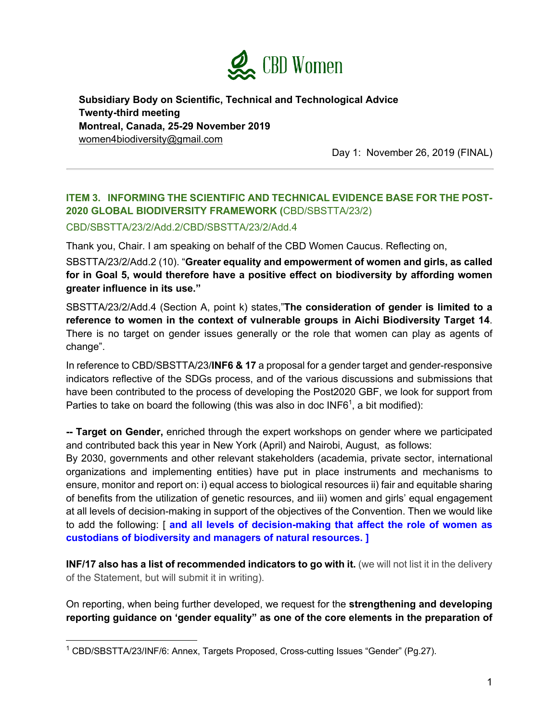

**Subsidiary Body on Scientific, Technical and Technological Advice Twenty-third meeting Montreal, Canada, 25-29 November 2019** women4biodiversity@gmail.com

Day 1: November 26, 2019 (FINAL)

## **ITEM 3. INFORMING THE SCIENTIFIC AND TECHNICAL EVIDENCE BASE FOR THE POST-2020 GLOBAL BIODIVERSITY FRAMEWORK (**CBD/SBSTTA/23/2)

## CBD/SBSTTA/23/2/Add.2/CBD/SBSTTA/23/2/Add.4

Thank you, Chair. I am speaking on behalf of the CBD Women Caucus. Reflecting on,

SBSTTA/23/2/Add.2 (10). "**Greater equality and empowerment of women and girls, as called for in Goal 5, would therefore have a positive effect on biodiversity by affording women greater influence in its use."**

SBSTTA/23/2/Add.4 (Section A, point k) states,"**The consideration of gender is limited to a reference to women in the context of vulnerable groups in Aichi Biodiversity Target 14**. There is no target on gender issues generally or the role that women can play as agents of change".

In reference to CBD/SBSTTA/23/**INF6 & 17** a proposal for a gender target and gender-responsive indicators reflective of the SDGs process, and of the various discussions and submissions that have been contributed to the process of developing the Post2020 GBF, we look for support from Parties to take on board the following (this was also in doc INF6<sup>1</sup>, a bit modified):

**-- Target on Gender,** enriched through the expert workshops on gender where we participated and contributed back this year in New York (April) and Nairobi, August, as follows:

By 2030, governments and other relevant stakeholders (academia, private sector, international organizations and implementing entities) have put in place instruments and mechanisms to ensure, monitor and report on: i) equal access to biological resources ii) fair and equitable sharing of benefits from the utilization of genetic resources, and iii) women and girls' equal engagement at all levels of decision-making in support of the objectives of the Convention. Then we would like to add the following: [ **and all levels of decision-making that affect the role of women as custodians of biodiversity and managers of natural resources. ]**

**INF/17 also has a list of recommended indicators to go with it.** (we will not list it in the delivery of the Statement, but will submit it in writing).

On reporting, when being further developed, we request for the **strengthening and developing reporting guidance on 'gender equality" as one of the core elements in the preparation of** 

<sup>&</sup>lt;sup>1</sup> CBD/SBSTTA/23/INF/6: Annex, Targets Proposed, Cross-cutting Issues "Gender" (Pg.27).